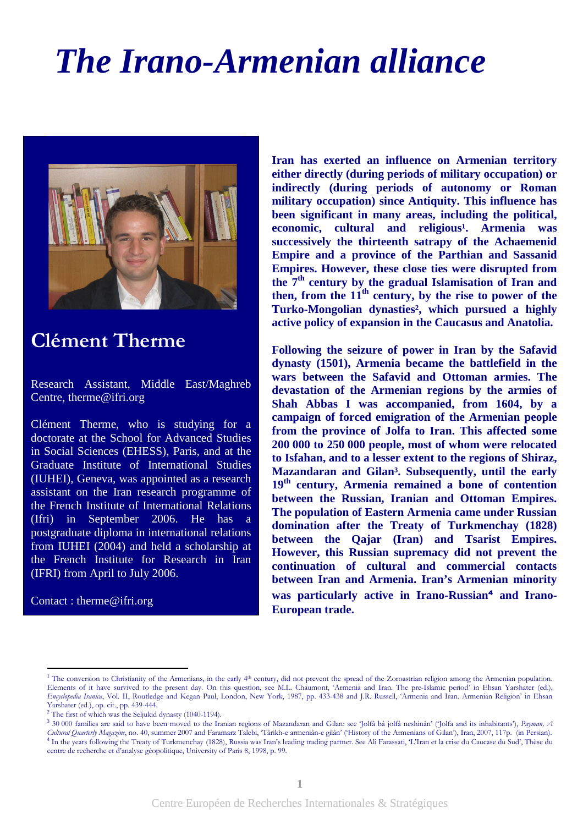## *The Irano-Armenian alliance*



## Clément Therme

Research Assistant, Middle East/Maghreb Centre, therme@ifri.org

Clément Therme, who is studying for a doctorate at the School for Advanced Studies in Social Sciences (EHESS), Paris, and at the Graduate Institute of International Studies (IUHEI), Geneva, was appointed as a research assistant on the Iran research programme of the French Institute of International Relations (Ifri) in September 2006. He has a postgraduate diploma in international relations from IUHEI (2004) and held a scholarship at the French Institute for Research in Iran (IFRI) from April to July 2006.

Contact : therme@ifri.org

 $\overline{a}$ 

**Iran has exerted an influence on Armenian territory either directly (during periods of military occupation) or indirectly (during periods of autonomy or Roman military occupation) since Antiquity. This influence has been significant in many areas, including the political,**  economic, cultural and religious<sup>1</sup>. Armenia was **successively the thirteenth satrapy of the Achaemenid Empire and a province of the Parthian and Sassanid Empires. However, these close ties were disrupted from the 7th century by the gradual Islamisation of Iran and then, from the 11th century, by the rise to power of the Turko-Mongolian dynasties², which pursued a highly active policy of expansion in the Caucasus and Anatolia.** 

**Following the seizure of power in Iran by the Safavid dynasty (1501), Armenia became the battlefield in the wars between the Safavid and Ottoman armies. The devastation of the Armenian regions by the armies of Shah Abbas I was accompanied, from 1604, by a campaign of forced emigration of the Armenian people from the province of Jolfa to Iran. This affected some 200 000 to 250 000 people, most of whom were relocated to Isfahan, and to a lesser extent to the regions of Shiraz, Mazandaran and Gilan³. Subsequently, until the early 19th century, Armenia remained a bone of contention between the Russian, Iranian and Ottoman Empires. The population of Eastern Armenia came under Russian domination after the Treaty of Turkmenchay (1828) between the Qajar (Iran) and Tsarist Empires. However, this Russian supremacy did not prevent the continuation of cultural and commercial contacts between Iran and Armenia. Iran's Armenian minority**  was particularly active in Irano-Russian<sup>4</sup> and Irano-**European trade.** 

<sup>3</sup> 30 000 families are said to have been moved to the Iranian regions of Mazandaran and Gilan: see Jolfâ bâ jolfâ neshinân' ('Jolfa and its inhabitants'), Payman, A Cultural Quarterly Magazine, no. 40, summer 2007 and Faramarz Talebi, 'Târikh-e armeniân-e gilân' ('History of the Armenians of Gilan'), Iran, 2007, 117p. (in Persian). 4 In the years following the Treaty of Turkmenchay (1828), Russia was Iran's leading trading partner. See Ali Farassati, 'L'Iran et la crise du Caucase du Sud', Thèse du

<sup>&</sup>lt;sup>1</sup> The conversion to Christianity of the Armenians, in the early 4<sup>th</sup> century, did not prevent the spread of the Zoroastrian religion among the Armenian population. Elements of it have survived to the present day. On this question, see M.L. Chaumont, 'Armenia and Iran. The pre-Islamic period' in Ehsan Yarshater (ed.), Encyclopedia Iranica, Vol. II, Routledge and Kegan Paul, London, New York, 1987, pp. 433-438 and J.R. Russell, 'Armenia and Iran. Armenian Religion' in Ehsan Yarshater (ed.), op. cit., pp. 439-444.

<sup>&</sup>lt;sup>2</sup> The first of which was the Seljukid dynasty (1040-1194).

centre de recherche et d'analyse géopolitique, University of Paris 8, 1998, p. 99.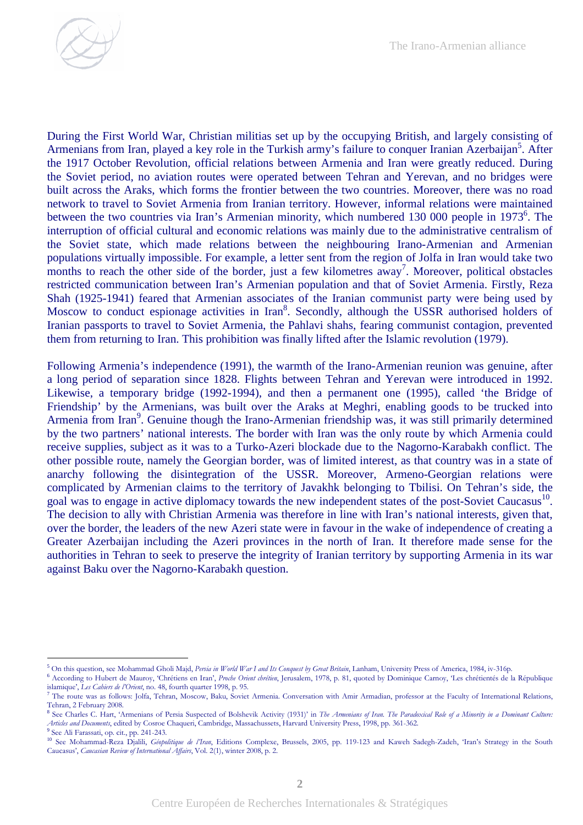

During the First World War, Christian militias set up by the occupying British, and largely consisting of Armenians from Iran, played a key role in the Turkish army's failure to conquer Iranian Azerbaijan<sup>5</sup>. After the 1917 October Revolution, official relations between Armenia and Iran were greatly reduced. During the Soviet period, no aviation routes were operated between Tehran and Yerevan, and no bridges were built across the Araks, which forms the frontier between the two countries. Moreover, there was no road network to travel to Soviet Armenia from Iranian territory. However, informal relations were maintained between the two countries via Iran's Armenian minority, which numbered 130 000 people in 1973<sup>6</sup>. The interruption of official cultural and economic relations was mainly due to the administrative centralism of the Soviet state, which made relations between the neighbouring Irano-Armenian and Armenian populations virtually impossible. For example, a letter sent from the region of Jolfa in Iran would take two months to reach the other side of the border, just a few kilometres  $a$ way<sup>7</sup>. Moreover, political obstacles restricted communication between Iran's Armenian population and that of Soviet Armenia. Firstly, Reza Shah (1925-1941) feared that Armenian associates of the Iranian communist party were being used by Moscow to conduct espionage activities in Iran<sup>8</sup>. Secondly, although the USSR authorised holders of Iranian passports to travel to Soviet Armenia, the Pahlavi shahs, fearing communist contagion, prevented them from returning to Iran. This prohibition was finally lifted after the Islamic revolution (1979).

Following Armenia's independence (1991), the warmth of the Irano-Armenian reunion was genuine, after a long period of separation since 1828. Flights between Tehran and Yerevan were introduced in 1992. Likewise, a temporary bridge (1992-1994), and then a permanent one (1995), called 'the Bridge of Friendship' by the Armenians, was built over the Araks at Meghri, enabling goods to be trucked into Armenia from Iran<sup>9</sup>. Genuine though the Irano-Armenian friendship was, it was still primarily determined by the two partners' national interests. The border with Iran was the only route by which Armenia could receive supplies, subject as it was to a Turko-Azeri blockade due to the Nagorno-Karabakh conflict. The other possible route, namely the Georgian border, was of limited interest, as that country was in a state of anarchy following the disintegration of the USSR. Moreover, Armeno-Georgian relations were complicated by Armenian claims to the territory of Javakhk belonging to Tbilisi. On Tehran's side, the goal was to engage in active diplomacy towards the new independent states of the post-Soviet Caucasus<sup>10</sup>. The decision to ally with Christian Armenia was therefore in line with Iran's national interests, given that, over the border, the leaders of the new Azeri state were in favour in the wake of independence of creating a Greater Azerbaijan including the Azeri provinces in the north of Iran. It therefore made sense for the authorities in Tehran to seek to preserve the integrity of Iranian territory by supporting Armenia in its war against Baku over the Nagorno-Karabakh question.

 $\overline{a}$ 

<sup>&</sup>lt;sup>5</sup> On this question, see Mohammad Gholi Majd, Persia in World War I and Its Conquest by Great Britain, Lanham, University Press of America, 1984, iv-316p.

<sup>&</sup>lt;sup>6</sup> According to Hubert de Mauroy, 'Chrétiens en Iran', Proche Orient chrétien, Jerusalem, 1978, p. 81, quoted by Dominique Carnoy, 'Les chrétientés de la République islamique', Les Cahiers de l'Orient, no. 48, fourth quarter 1998, p. 95.

<sup>&</sup>lt;sup>7</sup> The route was as follows: Jolfa, Tehran, Moscow, Baku, Soviet Armenia. Conversation with Amir Armadian, professor at the Faculty of International Relations, Tehran, 2 February 2008.

<sup>&</sup>lt;sup>8</sup> See Charles C. Hart, 'Armenians of Persia Suspected of Bolshevik Activity (1931)' in The Armenians of Iran. The Paradoxical Role of a Minority in a Dominant Culture: Articles and Documents, edited by Cosroe Chaqueri, Cambridge, Massachussets, Harvard University Press, 1998, pp. 361-362.

<sup>9</sup> See Ali Farassati, op. cit., pp. 241-243.

<sup>&</sup>lt;sup>10</sup> See Mohammad-Reza Djalili, Géopolitique de l'Iran, Editions Complexe, Brussels, 2005, pp. 119-123 and Kaweh Sadegh-Zadeh, 'Iran's Strategy in the South Caucasus', Caucasian Review of International Affairs, Vol. 2(1), winter 2008, p. 2.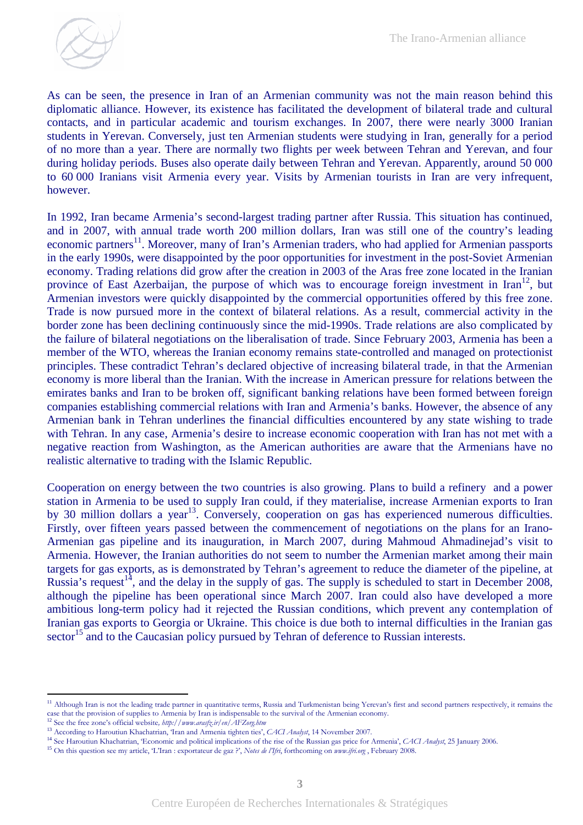As can be seen, the presence in Iran of an Armenian community was not the main reason behind this diplomatic alliance. However, its existence has facilitated the development of bilateral trade and cultural contacts, and in particular academic and tourism exchanges. In 2007, there were nearly 3000 Iranian students in Yerevan. Conversely, just ten Armenian students were studying in Iran, generally for a period of no more than a year. There are normally two flights per week between Tehran and Yerevan, and four during holiday periods. Buses also operate daily between Tehran and Yerevan. Apparently, around 50 000 to 60 000 Iranians visit Armenia every year. Visits by Armenian tourists in Iran are very infrequent, however.

In 1992, Iran became Armenia's second-largest trading partner after Russia. This situation has continued, and in 2007, with annual trade worth 200 million dollars, Iran was still one of the country's leading economic partners<sup>11</sup>. Moreover, many of Iran's Armenian traders, who had applied for Armenian passports in the early 1990s, were disappointed by the poor opportunities for investment in the post-Soviet Armenian economy. Trading relations did grow after the creation in 2003 of the Aras free zone located in the Iranian province of East Azerbaijan, the purpose of which was to encourage foreign investment in  $\text{Iran}^{12}$ , but Armenian investors were quickly disappointed by the commercial opportunities offered by this free zone. Trade is now pursued more in the context of bilateral relations. As a result, commercial activity in the border zone has been declining continuously since the mid-1990s. Trade relations are also complicated by the failure of bilateral negotiations on the liberalisation of trade. Since February 2003, Armenia has been a member of the WTO, whereas the Iranian economy remains state-controlled and managed on protectionist principles. These contradict Tehran's declared objective of increasing bilateral trade, in that the Armenian economy is more liberal than the Iranian. With the increase in American pressure for relations between the emirates banks and Iran to be broken off, significant banking relations have been formed between foreign companies establishing commercial relations with Iran and Armenia's banks. However, the absence of any Armenian bank in Tehran underlines the financial difficulties encountered by any state wishing to trade with Tehran. In any case, Armenia's desire to increase economic cooperation with Iran has not met with a negative reaction from Washington, as the American authorities are aware that the Armenians have no realistic alternative to trading with the Islamic Republic.

Cooperation on energy between the two countries is also growing. Plans to build a refinery and a power station in Armenia to be used to supply Iran could, if they materialise, increase Armenian exports to Iran by 30 million dollars a year<sup>13</sup>. Conversely, cooperation on gas has experienced numerous difficulties. Firstly, over fifteen years passed between the commencement of negotiations on the plans for an Irano-Armenian gas pipeline and its inauguration, in March 2007, during Mahmoud Ahmadinejad's visit to Armenia. However, the Iranian authorities do not seem to number the Armenian market among their main targets for gas exports, as is demonstrated by Tehran's agreement to reduce the diameter of the pipeline, at Russia's request<sup>14</sup>, and the delay in the supply of gas. The supply is scheduled to start in December 2008, although the pipeline has been operational since March 2007. Iran could also have developed a more ambitious long-term policy had it rejected the Russian conditions, which prevent any contemplation of Iranian gas exports to Georgia or Ukraine. This choice is due both to internal difficulties in the Iranian gas sector<sup>15</sup> and to the Caucasian policy pursued by Tehran of deference to Russian interests.

 $\overline{a}$ 

<sup>&</sup>lt;sup>11</sup> Although Iran is not the leading trade partner in quantitative terms, Russia and Turkmenistan being Yerevan's first and second partners respectively, it remains the case that the provision of supplies to Armenia by Iran is indispensable to the survival of the Armenian economy.

<sup>&</sup>lt;sup>12</sup> See the free zone's official website, http://www.arasfz.ir/en/AFZorg.htm

<sup>&</sup>lt;sup>13</sup> According to Haroutiun Khachatrian, 'Iran and Armenia tighten ties', CACI Analyst, 14 November 2007.

<sup>&</sup>lt;sup>14</sup> See Haroutiun Khachatrian, 'Economic and political implications of the rise of the Russian gas price for Armenia', CACI Analyst, 25 January 2006.

<sup>&</sup>lt;sup>15</sup> On this question see my article, 'L'Iran : exportateur de gaz ?', Notes de l'Ifri, forthcoming on *www.ifri.org* , February 2008.